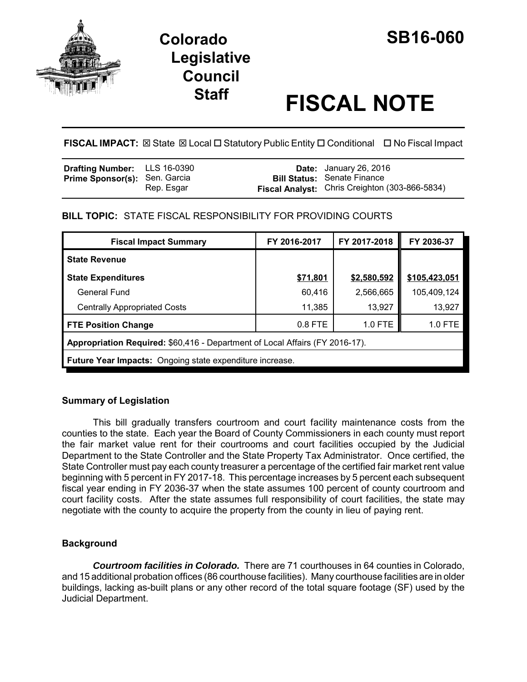

# **Colorado SB16-060 Legislative Council**

# **Staff FISCAL NOTE**

**FISCAL IMPACT:** ⊠ State ⊠ Local □ Statutory Public Entity □ Conditional □ No Fiscal Impact

| <b>Drafting Number:</b> LLS 16-0390  |            | <b>Date:</b> January 26, 2016                         |
|--------------------------------------|------------|-------------------------------------------------------|
| <b>Prime Sponsor(s): Sen. Garcia</b> |            | <b>Bill Status: Senate Finance</b>                    |
|                                      | Rep. Esgar | <b>Fiscal Analyst:</b> Chris Creighton (303-866-5834) |

# **BILL TOPIC:** STATE FISCAL RESPONSIBILITY FOR PROVIDING COURTS

| <b>Fiscal Impact Summary</b>                                                 | FY 2016-2017 | FY 2017-2018 | FY 2036-37    |  |
|------------------------------------------------------------------------------|--------------|--------------|---------------|--|
| <b>State Revenue</b>                                                         |              |              |               |  |
| <b>State Expenditures</b>                                                    | \$71,801     | \$2,580,592  | \$105,423,051 |  |
| General Fund                                                                 | 60,416       | 2,566,665    | 105,409,124   |  |
| <b>Centrally Appropriated Costs</b>                                          | 11,385       | 13,927       | 13,927        |  |
| <b>FTE Position Change</b>                                                   | $0.8$ FTE    | 1.0 FTE      | 1.0 FTE       |  |
| Appropriation Required: \$60,416 - Department of Local Affairs (FY 2016-17). |              |              |               |  |
| <b>Future Year Impacts:</b> Ongoing state expenditure increase.              |              |              |               |  |

# **Summary of Legislation**

This bill gradually transfers courtroom and court facility maintenance costs from the counties to the state. Each year the Board of County Commissioners in each county must report the fair market value rent for their courtrooms and court facilities occupied by the Judicial Department to the State Controller and the State Property Tax Administrator. Once certified, the State Controller must pay each county treasurer a percentage of the certified fair market rent value beginning with 5 percent in FY 2017-18. This percentage increases by 5 percent each subsequent fiscal year ending in FY 2036-37 when the state assumes 100 percent of county courtroom and court facility costs. After the state assumes full responsibility of court facilities, the state may negotiate with the county to acquire the property from the county in lieu of paying rent.

# **Background**

*Courtroom facilities in Colorado.* There are 71 courthouses in 64 counties in Colorado, and 15 additional probation offices (86 courthouse facilities). Many courthouse facilities are in older buildings, lacking as-built plans or any other record of the total square footage (SF) used by the Judicial Department.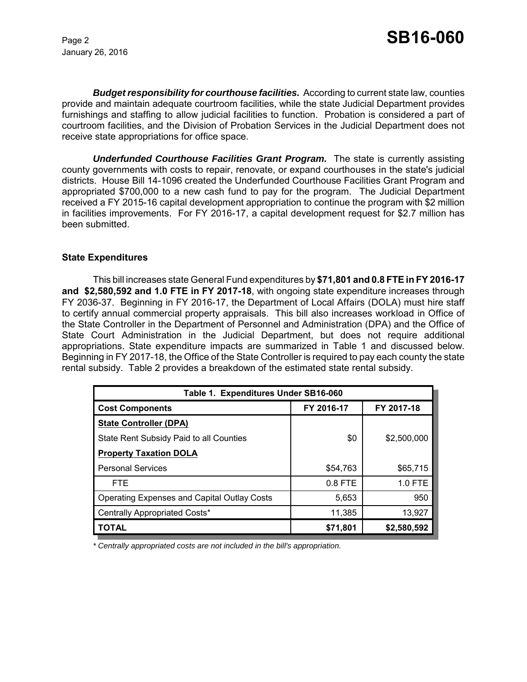January 26, 2016

*Budget responsibility for courthouse facilities.* According to current state law, counties provide and maintain adequate courtroom facilities, while the state Judicial Department provides furnishings and staffing to allow judicial facilities to function. Probation is considered a part of courtroom facilities, and the Division of Probation Services in the Judicial Department does not receive state appropriations for office space.

*Underfunded Courthouse Facilities Grant Program.* The state is currently assisting county governments with costs to repair, renovate, or expand courthouses in the state's judicial districts. House Bill 14-1096 created the Underfunded Courthouse Facilities Grant Program and appropriated \$700,000 to a new cash fund to pay for the program. The Judicial Department received a FY 2015-16 capital development appropriation to continue the program with \$2 million in facilities improvements. For FY 2016-17, a capital development request for \$2.7 million has been submitted.

#### **State Expenditures**

This bill increases state General Fund expenditures by **\$71,801 and 0.8 FTE in FY 2016-17 and \$2,580,592 and 1.0 FTE in FY 2017-18**, with ongoing state expenditure increases through FY 2036-37. Beginning in FY 2016-17, the Department of Local Affairs (DOLA) must hire staff to certify annual commercial property appraisals. This bill also increases workload in Office of the State Controller in the Department of Personnel and Administration (DPA) and the Office of State Court Administration in the Judicial Department, but does not require additional appropriations. State expenditure impacts are summarized in Table 1 and discussed below. Beginning in FY 2017-18, the Office of the State Controller is required to pay each county the state rental subsidy. Table 2 provides a breakdown of the estimated state rental subsidy.

| Table 1. Expenditures Under SB16-060               |            |             |  |  |
|----------------------------------------------------|------------|-------------|--|--|
| <b>Cost Components</b>                             | FY 2016-17 | FY 2017-18  |  |  |
| <b>State Controller (DPA)</b>                      |            |             |  |  |
| State Rent Subsidy Paid to all Counties            | \$0        | \$2,500,000 |  |  |
| <b>Property Taxation DOLA</b>                      |            |             |  |  |
| <b>Personal Services</b>                           | \$54,763   | \$65,715    |  |  |
| <b>FTE</b>                                         | $0.8$ FTE  | 1.0 FTE     |  |  |
| <b>Operating Expenses and Capital Outlay Costs</b> | 5,653      | 950         |  |  |
| Centrally Appropriated Costs*                      | 11,385     | 13,927      |  |  |
| TOTAL                                              | \$71,801   | \$2,580,592 |  |  |

*\* Centrally appropriated costs are not included in the bill's appropriation.*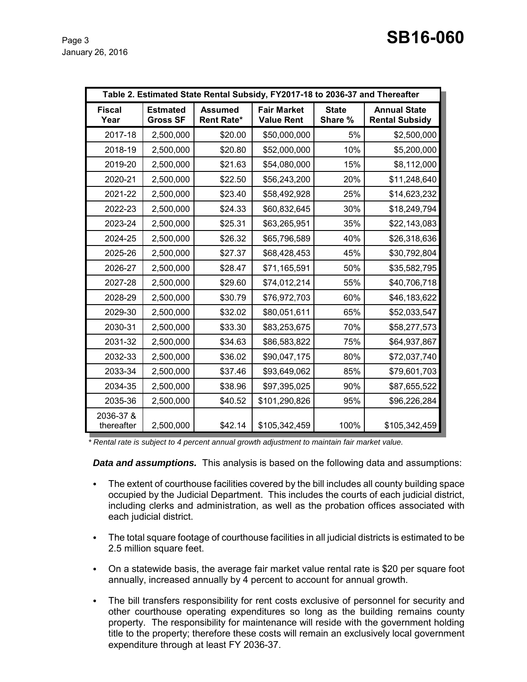|                         | Table 2. Estimated State Rental Subsidy, FY2017-18 to 2036-37 and Thereafter |                                     |                                         |                         |                                              |
|-------------------------|------------------------------------------------------------------------------|-------------------------------------|-----------------------------------------|-------------------------|----------------------------------------------|
| <b>Fiscal</b><br>Year   | <b>Estmated</b><br><b>Gross SF</b>                                           | <b>Assumed</b><br><b>Rent Rate*</b> | <b>Fair Market</b><br><b>Value Rent</b> | <b>State</b><br>Share % | <b>Annual State</b><br><b>Rental Subsidy</b> |
| 2017-18                 | 2,500,000                                                                    | \$20.00                             | \$50,000,000                            | 5%                      | \$2,500,000                                  |
| 2018-19                 | 2,500,000                                                                    | \$20.80                             | \$52,000,000                            | 10%                     | \$5,200,000                                  |
| 2019-20                 | 2,500,000                                                                    | \$21.63                             | \$54,080,000                            | 15%                     | \$8,112,000                                  |
| 2020-21                 | 2,500,000                                                                    | \$22.50                             | \$56,243,200                            | 20%                     | \$11,248,640                                 |
| 2021-22                 | 2,500,000                                                                    | \$23.40                             | \$58,492,928                            | 25%                     | \$14,623,232                                 |
| 2022-23                 | 2,500,000                                                                    | \$24.33                             | \$60,832,645                            | 30%                     | \$18,249,794                                 |
| 2023-24                 | 2,500,000                                                                    | \$25.31                             | \$63,265,951                            | 35%                     | \$22,143,083                                 |
| 2024-25                 | 2,500,000                                                                    | \$26.32                             | \$65,796,589                            | 40%                     | \$26,318,636                                 |
| 2025-26                 | 2,500,000                                                                    | \$27.37                             | \$68,428,453                            | 45%                     | \$30,792,804                                 |
| 2026-27                 | 2,500,000                                                                    | \$28.47                             | \$71,165,591                            | 50%                     | \$35,582,795                                 |
| 2027-28                 | 2,500,000                                                                    | \$29.60                             | \$74,012,214                            | 55%                     | \$40,706,718                                 |
| 2028-29                 | 2,500,000                                                                    | \$30.79                             | \$76,972,703                            | 60%                     | \$46,183,622                                 |
| 2029-30                 | 2,500,000                                                                    | \$32.02                             | \$80,051,611                            | 65%                     | \$52,033,547                                 |
| 2030-31                 | 2,500,000                                                                    | \$33.30                             | \$83,253,675                            | 70%                     | \$58,277,573                                 |
| 2031-32                 | 2,500,000                                                                    | \$34.63                             | \$86,583,822                            | 75%                     | \$64,937,867                                 |
| 2032-33                 | 2,500,000                                                                    | \$36.02                             | \$90,047,175                            | 80%                     | \$72,037,740                                 |
| 2033-34                 | 2,500,000                                                                    | \$37.46                             | \$93,649,062                            | 85%                     | \$79,601,703                                 |
| 2034-35                 | 2,500,000                                                                    | \$38.96                             | \$97,395,025                            | 90%                     | \$87,655,522                                 |
| 2035-36                 | 2,500,000                                                                    | \$40.52                             | \$101,290,826                           | 95%                     | \$96,226,284                                 |
| 2036-37 &<br>thereafter | 2,500,000                                                                    | \$42.14                             | \$105,342,459                           | 100%                    | \$105,342,459                                |

 *\* Rental rate is subject to 4 percent annual growth adjustment to maintain fair market value.* 

*Data and assumptions.* This analysis is based on the following data and assumptions:

- The extent of courthouse facilities covered by the bill includes all county building space occupied by the Judicial Department. This includes the courts of each judicial district, including clerks and administration, as well as the probation offices associated with each judicial district.
- The total square footage of courthouse facilities in all judicial districts is estimated to be 2.5 million square feet.
- On a statewide basis, the average fair market value rental rate is \$20 per square foot annually, increased annually by 4 percent to account for annual growth.
- The bill transfers responsibility for rent costs exclusive of personnel for security and other courthouse operating expenditures so long as the building remains county property. The responsibility for maintenance will reside with the government holding title to the property; therefore these costs will remain an exclusively local government expenditure through at least FY 2036-37.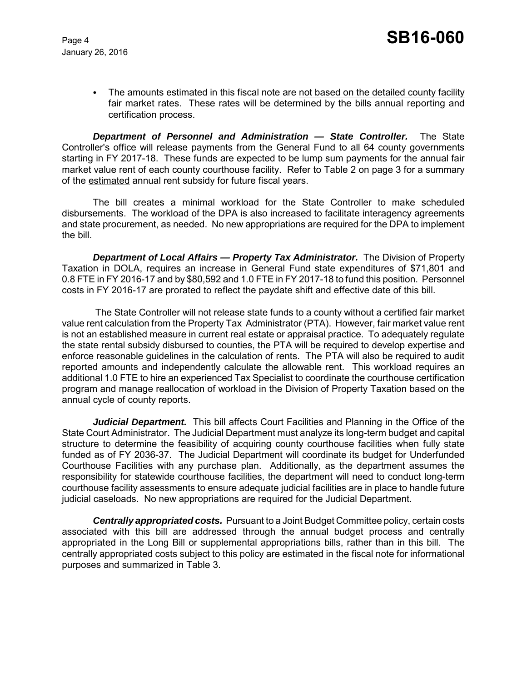• The amounts estimated in this fiscal note are not based on the detailed county facility fair market rates. These rates will be determined by the bills annual reporting and certification process.

*Department of Personnel and Administration — State Controller.* The State Controller's office will release payments from the General Fund to all 64 county governments starting in FY 2017-18. These funds are expected to be lump sum payments for the annual fair market value rent of each county courthouse facility. Refer to Table 2 on page 3 for a summary of the estimated annual rent subsidy for future fiscal years.

The bill creates a minimal workload for the State Controller to make scheduled disbursements. The workload of the DPA is also increased to facilitate interagency agreements and state procurement, as needed. No new appropriations are required for the DPA to implement the bill.

**Department of Local Affairs — Property Tax Administrator.** The Division of Property Taxation in DOLA, requires an increase in General Fund state expenditures of \$71,801 and 0.8 FTE in FY 2016-17 and by \$80,592 and 1.0 FTE in FY 2017-18 to fund this position. Personnel costs in FY 2016-17 are prorated to reflect the paydate shift and effective date of this bill.

 The State Controller will not release state funds to a county without a certified fair market value rent calculation from the Property Tax Administrator (PTA). However, fair market value rent is not an established measure in current real estate or appraisal practice. To adequately regulate the state rental subsidy disbursed to counties, the PTA will be required to develop expertise and enforce reasonable guidelines in the calculation of rents. The PTA will also be required to audit reported amounts and independently calculate the allowable rent. This workload requires an additional 1.0 FTE to hire an experienced Tax Specialist to coordinate the courthouse certification program and manage reallocation of workload in the Division of Property Taxation based on the annual cycle of county reports.

*Judicial Department.* This bill affects Court Facilities and Planning in the Office of the State Court Administrator. The Judicial Department must analyze its long-term budget and capital structure to determine the feasibility of acquiring county courthouse facilities when fully state funded as of FY 2036-37. The Judicial Department will coordinate its budget for Underfunded Courthouse Facilities with any purchase plan. Additionally, as the department assumes the responsibility for statewide courthouse facilities, the department will need to conduct long-term courthouse facility assessments to ensure adequate judicial facilities are in place to handle future judicial caseloads. No new appropriations are required for the Judicial Department.

*Centrally appropriated costs.* Pursuant to a Joint Budget Committee policy, certain costs associated with this bill are addressed through the annual budget process and centrally appropriated in the Long Bill or supplemental appropriations bills, rather than in this bill. The centrally appropriated costs subject to this policy are estimated in the fiscal note for informational purposes and summarized in Table 3.